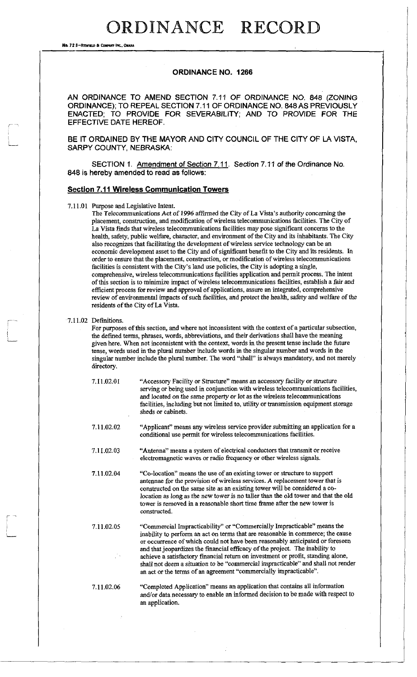No. 72 S-REDFIELD & COMPANY INC., OMAHI

#### **ORDINANCE NO. 1266**

AN ORDINANCE TO AMEND SECTION 7.11 OF ORDINANCE NO. 848 (ZONING ORDINANCE); TO REPEAL SECTION 7.11 OF ORDINANCE NO. 848 AS PREVIOUSLY ENACTED; TO PROVIDE FOR SEVERABILITY; AND TO PROVIDE FOR THE EFFECTIVE DATE HEREOF.

BE IT ORDAINED BY THE MAYOR AND CITY COUNCIL OF THE CITY OF LA VISTA, SARPY COUNTY, NEBRASKA:

SECTION 1. Amendment of Section *1. 71 Section 7.11* of the Ordinance No. 848 is hereby amended to read as follows:

#### **Section 7.11 Wireless Communication Towers**

7.11.01 Purpose and Legislative Intent.

The Telecommunications Act *of 1996* affirmed the City of La Vista's authority concerning the placement, construction, and modification of wireless telecommunications facilities. The City of La Vista finds that wireless telecommunications facilities may pose significant concerns to the health, safety, public welfare, character, and environment of the City and its inhabitants. The City also recognizes that facilitating the development of wireless service technology can be an economic development asset to the City and of significant benefit to the City and its residents. In order to ensure that the placement, construction, or modification of wireless telecommunications facilities is consistent with the City's land use policies, the City is adopting a single, comprehensive, wireless telecommunications facilities application and permit process. The intent of this section is to minimize impact of wireless telecommunications facilities, establish a fair and efficient process for review and approval of applications, assure an integrated, comprehensive review of environmental impacts of such facilities, and protect the health, safety and welfare of the residents of the City of La Vista.

#### 7.11.02 Definitions.

For purposes of this section, and where not inconsistent with the context of a particular subsection, the defined terms, phrases, words, abbreviations, and their derivations shall have the meaning given here. When not inconsistent with the context, words in the present tense include the future tense, words used in the plural number include words in the singular number and words in the singular number include the plural number. The word "shall" is always mandatory, and not merely directory.

| 7.11.02.01        | "Accessory Facility or Structure" means an accessory facility or structure<br>serving or being used in conjunction with wireless telecommunications facilities,<br>and located on the same property or lot as the wireless telecommunications<br>facilities, including but not limited to, utility or transmission equipment storage<br>sheds or cabinets.                                                                                                                                                                                                               |
|-------------------|--------------------------------------------------------------------------------------------------------------------------------------------------------------------------------------------------------------------------------------------------------------------------------------------------------------------------------------------------------------------------------------------------------------------------------------------------------------------------------------------------------------------------------------------------------------------------|
| 7.11.02.02        | "Applicant" means any wireless service provider submitting an application for a<br>conditional use permit for wireless telecommunications facilities.                                                                                                                                                                                                                                                                                                                                                                                                                    |
| 7.11.02.03        | "Antenna" means a system of electrical conductors that transmit or receive<br>electromagnetic waves or radio frequency or other wireless signals.                                                                                                                                                                                                                                                                                                                                                                                                                        |
| 7.11.02.04        | "Co-location" means the use of an existing tower or structure to support<br>antennae for the provision of wireless services. A replacement tower that is<br>constructed on the same site as an existing tower will be considered a co-<br>location as long as the new tower is no taller than the old tower and that the old<br>tower is removed in a reasonable short time frame after the new tower is<br>constructed.                                                                                                                                                 |
| 7.11.02.05<br>-14 | "Commercial Impracticability" or "Commercially Impracticable" means the<br>inability to perform an act on terms that are reasonable in commerce; the cause<br>or occurrence of which could not have been reasonably anticipated or foreseen<br>and that jeopardizes the financial efficacy of the project. The inability to<br>achieve a satisfactory financial return on investment or profit, standing alone,<br>shall not deem a situation to be "commercial impracticable" and shall not render<br>an act or the terms of an agreement "commercially impracticable". |
| 7.11.02.06        | "Completed Application" means an application that contains all information<br>and/or data necessary to enable an informed decision to be made with respect to<br>an application.                                                                                                                                                                                                                                                                                                                                                                                         |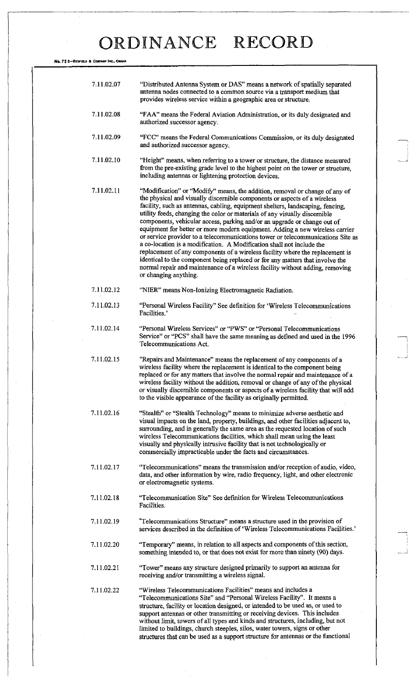**No.** 72 8—REDFIQJS **ft** COHFANT INC., OHMU

| 7.11.02.07 | "Distributed Antenna System or DAS" means a network of spatially separated<br>antenna nodes connected to a common source via a transport medium that<br>provides wireless service within a geographic area or structure.                                                                                                                                                                                                                                                                                                                                                                                                                                                                                                                                                                                                                                                                                                     |
|------------|------------------------------------------------------------------------------------------------------------------------------------------------------------------------------------------------------------------------------------------------------------------------------------------------------------------------------------------------------------------------------------------------------------------------------------------------------------------------------------------------------------------------------------------------------------------------------------------------------------------------------------------------------------------------------------------------------------------------------------------------------------------------------------------------------------------------------------------------------------------------------------------------------------------------------|
| 7.11.02.08 | "FAA" means the Federal Aviation Administration, or its duly designated and<br>authorized successor agency.                                                                                                                                                                                                                                                                                                                                                                                                                                                                                                                                                                                                                                                                                                                                                                                                                  |
| 7.11.02.09 | "FCC" means the Federal Communications Commission, or its duly designated<br>and authorized successor agency.                                                                                                                                                                                                                                                                                                                                                                                                                                                                                                                                                                                                                                                                                                                                                                                                                |
| 7.11.02.10 | "Height" means, when referring to a tower or structure, the distance measured<br>from the pre-existing grade level to the highest point on the tower or structure,<br>including antennas or lightening protection devices.                                                                                                                                                                                                                                                                                                                                                                                                                                                                                                                                                                                                                                                                                                   |
| 7.11.02.11 | "Modification" or "Modify" means, the addition, removal or change of any of<br>the physical and visually discernible components or aspects of a wireless<br>facility, such as antennas, cabling, equipment shelters, landscaping, fencing,<br>utility feeds, changing the color or materials of any visually discernible<br>components, vehicular access, parking and/or an upgrade or change out of<br>equipment for better or more modern equipment. Adding a new wireless carrier<br>or service provider to a telecommunications tower or telecommunications Site as<br>a co-location is a modification. A Modification shall not include the<br>replacement of any components of a wireless facility where the replacement is<br>identical to the component being replaced or for any matters that involve the<br>normal repair and maintenance of a wireless facility without adding, removing<br>or changing anything. |
| 7.11.02.12 | "NIER" means Non-Ionizing Electromagnetic Radiation.                                                                                                                                                                                                                                                                                                                                                                                                                                                                                                                                                                                                                                                                                                                                                                                                                                                                         |
| 7.11.02.13 | "Personal Wireless Facility" See definition for 'Wireless Telecommunications<br>Facilities.'                                                                                                                                                                                                                                                                                                                                                                                                                                                                                                                                                                                                                                                                                                                                                                                                                                 |
| 7.11.02.14 | "Personal Wireless Services" or "PWS" or "Personal Telecommunications<br>Service" or "PCS" shall have the same meaning as defined and used in the 1996<br>Telecommunications Act.                                                                                                                                                                                                                                                                                                                                                                                                                                                                                                                                                                                                                                                                                                                                            |
| 7.11.02.15 | "Repairs and Maintenance" means the replacement of any components of a<br>wireless facility where the replacement is identical to the component being<br>replaced or for any matters that involve the normal repair and maintenance of a<br>wireless facility without the addition, removal or change of any of the physical<br>or visually discernible components or aspects of a wireless facility that will add<br>to the visible appearance of the facility as originally permitted.                                                                                                                                                                                                                                                                                                                                                                                                                                     |
| 7.11.02.16 | "Stealth" or "Stealth Technology" means to minimize adverse aesthetic and<br>visual impacts on the land, property, buildings, and other facilities adjacent to,<br>surrounding, and in generally the same area as the requested location of such<br>wireless Telecommunications facilities, which shall mean using the least<br>visually and physically intrusive facility that is not technologically or<br>commercially impracticable under the facts and circumstances.                                                                                                                                                                                                                                                                                                                                                                                                                                                   |
| 7.11.02.17 | "Telecommunications" means the transmission and/or reception of audio, video,<br>data, and other information by wire, radio frequency, light, and other electronic<br>or electromagnetic systems.                                                                                                                                                                                                                                                                                                                                                                                                                                                                                                                                                                                                                                                                                                                            |
| 7.11.02.18 | "Telecommunication Site" See definition for Wireless Telecommunications<br>Facilities.                                                                                                                                                                                                                                                                                                                                                                                                                                                                                                                                                                                                                                                                                                                                                                                                                                       |
| 7.11.02.19 | "Telecommunications Structure" means a structure used in the provision of<br>services described in the definition of 'Wireless Telecommunications Facilities.'                                                                                                                                                                                                                                                                                                                                                                                                                                                                                                                                                                                                                                                                                                                                                               |
| 7.11.02.20 | "Temporary" means, in relation to all aspects and components of this section,<br>something intended to, or that does not exist for more than ninety (90) days.                                                                                                                                                                                                                                                                                                                                                                                                                                                                                                                                                                                                                                                                                                                                                               |
| 7.11.02.21 | "Tower" means any structure designed primarily to support an antenna for<br>receiving and/or transmitting a wireless signal.                                                                                                                                                                                                                                                                                                                                                                                                                                                                                                                                                                                                                                                                                                                                                                                                 |
| 7.11.02.22 | "Wireless Telecommunications Facilities" means and includes a<br>"Telecommunications Site" and "Personal Wireless Facility". It means a<br>structure, facility or location designed, or intended to be used as, or used to<br>support antennas or other transmitting or receiving devices. This includes<br>without limit, towers of all types and kinds and structures, including, but not<br>limited to buildings, church steeples, silos, water towers, signs or other<br>structures that can be used as a support structure for antennas or the functional                                                                                                                                                                                                                                                                                                                                                               |

 $\frac{1}{2}$  ,  $\frac{1}{2}$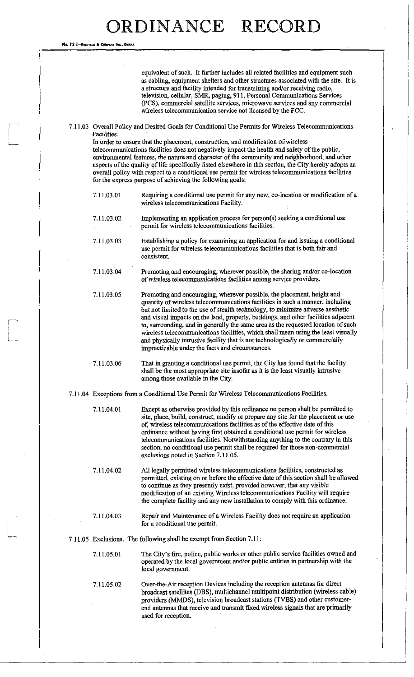No. 72 B—REDFIELD & Co.

equivalent of such. It further includes all related facilities and equipment such as cabling, equipment shelters and other structures associated with the site. It is a structure and facility intended for transmitting and/or receiving radio, television, cellular, SMR, paging, 911, Personal Communications Services (PCS), commercial satellite services, microwave services and any commercial wireless telecommunication service not licensed by the FCC.

7.11.03 Overall Policy and Desired Goals for Conditional Use Permits for Wireless Telecommunications Facilities.

In order to ensure that the placement, construction, and modification of wireless telecommunications facilities does not negatively impact the health and safety of the public, environmental features, the nature and character of the community and neighborhood, and other aspects of the quality of life specifically listed elsewhere in this section, the City hereby adopts an overall policy with respect to a conditional use permit for wireless telecommunications facilities for the express purpose of achieving the following goals:

- 7.11.03.01 Requiring a conditional use permit for any new, co-location or modification of a wireless telecommunications Facility.
- 7.11.03.02 Implementing an application process for person(s) seeking a conditional use permit for wireless telecommunications facilities.
- 7.11.03.03 Establishing a policy for examining an application for and issuing a conditional use permit for wireless telecommunications facilities that is both fair and consistent.
- 7.11.03.04 Promoting and encouraging, wherever possible, the sharing and/or co-location of wireless telecommunications facilities among service providers.
- 7.11.03.05 Promoting and encouraging, wherever possible, the placement, height and quantity of wireless telecommunications facilities in such a manner, including but not limited to the use of stealth *technology, to minimize* adverse aesthetic and visual impacts on the land, property, buildings, and other facilities adjacent to, surrounding, and in generally the same area as the requested location of such wireless telecommunications facilities, which shall mean using the least visually and physically intrusive facility that is not technologically or commercially impracticable under the facts and circumstances.

7.11.03.06 That in granting a conditional use permit, the City has found that the facility shall be the most appropriate site insofar as it is the least visually intrusive among those available in the City.

- 7.11.04 Exceptions from a Conditional Use Permit for Wireless Telecommunications Facilities.
	- 7.11.04.01 Except as otherwise provided by this ordinance no person shall be permitted to site, place, build, construct, modify or prepare any site for the placement or use of, wireless telecommunications facilities as of the effective date of this ordinance without having first obtained a conditional use permit for wireless telecommunications facilities. Notwithstanding anything to the contrary in this section, no conditional use permit shall be required for those non-commercial exclusions noted in Section 7.11.05.
	- 7.11.04.02 All legally permitted wireless telecommunications facilities, constructed as permitted, existing on or before the effective date of this section shall be allowed to continue as they presently exist, provided however, that any visible modification of an existing Wireless telecommunications Facility will require the complete facility *and* any new installation to comply with this ordinance.
	- 7.11.04.03 Repair and Maintenance of a Wireless Facility does not require an application for a conditional use permit.
- 7.11.05 Exclusions. The following shall be exempt from Section 7.11:
	- 7.11.05.01 The City's fire, police, public works or other public service facilities owned and operated by the local government and/or public entities in partnership with the local government.
	- 7.11.05.02 Over-the-Air reception Devices including the reception antennas for direct broadcast satellites (DBS), multichannel multipoint distribution (wireless cable) providers (MMDS), television broadcast stations (TVBS) and other customerend antennas that receive and transmit fixed wireless signals that are primarily used for reception.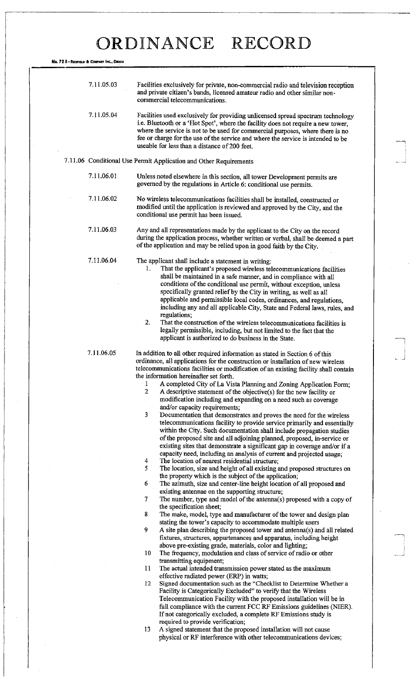$\begin{bmatrix} 1 \\ -1 \end{bmatrix}$ 

| No. 72 8-REDFIELD & COMPANY INC., ONAHA |                                                                                                                                                                                                                                                                                                                                                                                                                                                                                                                                                                                                                                                                                                                                         |
|-----------------------------------------|-----------------------------------------------------------------------------------------------------------------------------------------------------------------------------------------------------------------------------------------------------------------------------------------------------------------------------------------------------------------------------------------------------------------------------------------------------------------------------------------------------------------------------------------------------------------------------------------------------------------------------------------------------------------------------------------------------------------------------------------|
|                                         |                                                                                                                                                                                                                                                                                                                                                                                                                                                                                                                                                                                                                                                                                                                                         |
| 7.11.05.03                              | Facilities exclusively for private, non-commercial radio and television reception<br>and private citizen's bands, licensed amateur radio and other similar non-<br>commercial telecommunications.                                                                                                                                                                                                                                                                                                                                                                                                                                                                                                                                       |
| 7.11.05.04                              | Facilities used exclusively for providing unlicensed spread spectrum technology<br>i.e. Bluetooth or a 'Hot Spot', where the facility does not require a new tower,<br>where the service is not to be used for commercial purposes, where there is no<br>fee or charge for the use of the service and where the service is intended to be<br>useable for less than a distance of 200 feet.                                                                                                                                                                                                                                                                                                                                              |
|                                         | 7.11.06 Conditional Use Permit Application and Other Requirements                                                                                                                                                                                                                                                                                                                                                                                                                                                                                                                                                                                                                                                                       |
| 7.11.06.01                              | Unless noted elsewhere in this section, all tower Development permits are<br>governed by the regulations in Article 6: conditional use permits.                                                                                                                                                                                                                                                                                                                                                                                                                                                                                                                                                                                         |
| 7.11.06.02                              | No wireless telecommunications facilities shall be installed, constructed or<br>modified until the application is reviewed and approved by the City, and the<br>conditional use permit has been issued.                                                                                                                                                                                                                                                                                                                                                                                                                                                                                                                                 |
| 7.11.06.03                              | Any and all representations made by the applicant to the City on the record<br>during the application process, whether written or verbal, shall be deemed a part<br>of the application and may be relied upon in good faith by the City.                                                                                                                                                                                                                                                                                                                                                                                                                                                                                                |
| 7.11.06.04                              | The applicant shall include a statement in writing:<br>That the applicant's proposed wireless telecommunications facilities<br>1.<br>shall be maintained in a safe manner, and in compliance with all<br>conditions of the conditional use permit, without exception, unless<br>specifically granted relief by the City in writing, as well as all<br>applicable and permissible local codes, ordinances, and regulations,<br>including any and all applicable City, State and Federal laws, rules, and<br>regulations;<br>2.<br>That the construction of the wireless telecommunications facilities is<br>legally permissible, including, but not limited to the fact that the<br>applicant is authorized to do business in the State. |
| 7.11.06.05                              | In addition to all other required information as stated in Section 6 of this<br>ordinance, all applications for the construction or installation of new wireless<br>telecommunications facilities or modification of an existing facility shall contain<br>the information hereinafter set forth.<br>1<br>A completed City of La Vista Planning and Zoning Application Form;<br>$\overline{2}$<br>A descriptive statement of the objective(s) for the new facility or<br>modification including and expanding on a need such as coverage<br>and/or capacity requirements;                                                                                                                                                               |
|                                         | 3<br>Documentation that demonstrates and proves the need for the wireless<br>telecommunications facility to provide service primarily and essentially<br>within the City. Such documentation shall include propagation studies<br>of the proposed site and all adjoining planned, proposed, in-service or<br>existing sites that demonstrate a significant gap in coverage and/or if a<br>capacity need, including an analysis of current and projected usage;<br>The location of nearest residential structure;<br>4                                                                                                                                                                                                                   |
|                                         | 5<br>The location, size and height of all existing and proposed structures on<br>the property which is the subject of the application;<br>6<br>The azimuth, size and center-line height location of all proposed and                                                                                                                                                                                                                                                                                                                                                                                                                                                                                                                    |
|                                         | existing antennae on the supporting structure;<br>$\overline{7}$<br>The number, type and model of the antenna(s) proposed with a copy of                                                                                                                                                                                                                                                                                                                                                                                                                                                                                                                                                                                                |
|                                         | the specification sheet;<br>8<br>The make, model, type and manufacturer of the tower and design plan                                                                                                                                                                                                                                                                                                                                                                                                                                                                                                                                                                                                                                    |
|                                         | stating the tower's capacity to accommodate multiple users<br>9<br>A site plan describing the proposed tower and antenna(s) and all related<br>fixtures, structures, appurtenances and apparatus, including height<br>above pre-existing grade, materials, color and lighting,                                                                                                                                                                                                                                                                                                                                                                                                                                                          |
|                                         | 10<br>The frequency, modulation and class of service of radio or other<br>transmitting equipment;                                                                                                                                                                                                                                                                                                                                                                                                                                                                                                                                                                                                                                       |
|                                         | 11<br>The actual intended transmission power stated as the maximum<br>effective radiated power (ERP) in watts;                                                                                                                                                                                                                                                                                                                                                                                                                                                                                                                                                                                                                          |
|                                         | Signed documentation such as the "Checklist to Determine Whether a<br>12<br>Facility is Categorically Excluded" to verify that the Wireless<br>Telecommunication Facility with the proposed installation will be in<br>full compliance with the current FCC RF Emissions guidelines (NIER).<br>If not categorically excluded, a complete RF Emissions study is                                                                                                                                                                                                                                                                                                                                                                          |
|                                         | required to provide verification;<br>A signed statement that the proposed installation will not cause<br>13<br>physical or RF interference with other telecommunications devices;                                                                                                                                                                                                                                                                                                                                                                                                                                                                                                                                                       |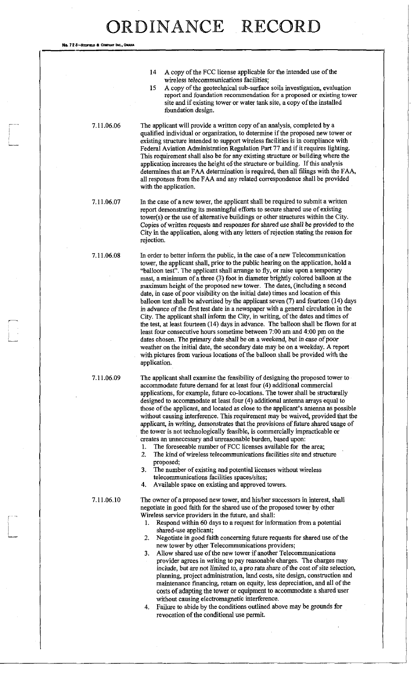14 A copy of the FCC license applicable for the intended use of the wireless telecommunications facilities; 15 A copy of the geotechnical sub-surface soils investigation, evaluation report and foundation recommendation for a proposed or existing tower site and if existing tower or water tank site, a copy of the installed foundation design. 7.11.06.06 The applicant will provide a written copy of an analysis, completed by a qualified individual or organization, to determine if the proposed new tower or existing structure intended to support wireless facilities is in compliance with Federal Aviation Administration Regulation Part 77 and if it requires lighting. This requirement shall also be for any existing structure or building where the application increases the height of the structure or building. If this analysis determines that an FAA determination is required, then all filings with the FAA, all responses from the FAA and any related correspondence shall be provided with the application. 7.11.06.07 In the case of a new tower, the applicant shall be required to submit a written report demonstrating its meaningful efforts to secure shared use of existing tower(s) or the use of alternative buildings or other structures within the City. Copies of written requests and responses for shared use shall be provided to the City in the application, along with any letters of rejection stating the reason for rejection. 7.11.06.08 In order to better inform the public, in the case of a new Telecommunication tower, the applicant shall, prior to the public hearing on the application, hold a "balloon test". The applicant shall arrange to fly, or raise upon a temporary mast, a minimum of a three (3) foot in diameter brightly colored balloon at the maximum height of the proposed new tower. The dates, (including a second date, in case of poor visibility on the initial date) times and location of this balloon test shall be advertised by the applicant seven (7) and fourteen (14) days in advance of the first test date in a newspaper with a general circulation in the City. The applicant shall inform the City, in writing, of the dates and times of the test, at least fourteen (14) days in advance. The balloon shall be flown for at least four consecutive hours sometime between 7:00 am and 4:00 pm on the dates chosen. The primary date shall be on a weekend, but in case of poor weather on the initial date, the secondary date may be on a weekday. A report with pictures from various locations of the balloon shall be provided with the application. 7.11.06.09 The applicant shall examine the feasibility of designing the proposed tower to accommodate future demand for at least four (4) additional commercial applications, for example, future co-locations. The tower shall be structurally designed to accommodate at least four (4) additional antenna arrays equal to those of the applicant, and located as close to the applicant's antenna as possible without causing interference. This requirement may be waived, provided that the applicant, in writing, demonstrates that the provisions of future shared usage of

the tower is not technologically feasible, is commercially impracticable or creates an unnecessary and unreasonable burden, based upon:

- 1. The foreseeable number of FCC licenses available for the area; 2. The kind of wireless telecommunications facilities site and structure proposed;
- 3. The number of existing and potential licenses without wireless telecommunications facilities spaces/sites;
- 4. Available space on existing and approved towers.

No. 72 8-RECFIELD & COMP

7.11.06.10 The owner of a proposed new tower, and his/her successors in interest, shall negotiate in good faith for the shared use of the proposed tower by other Wireless service providers in the future, and shall:

- 1. Respond within 60 days to a request for information from a potential shared-use applicant;
- 2. Negotiate in good faith concerning future requests for shared use of the new tower by other Telecommunications providers;
- 3. Allow shared use of the new tower if another Telecommunications provider agrees in writing to pay reasonable charges. The charges may include, but are not limited *to, a* pro rata share of the cost of site selection, planning, project administration, land costs, site design, construction and maintenance financing, return on equity, less depreciation, and all of the costs of adapting the tower or equipment to accommodate a shared user without causing electromagnetic interference.
- 4. Failure to abide by the conditions outlined above may be grounds for revocation of the conditional use permit.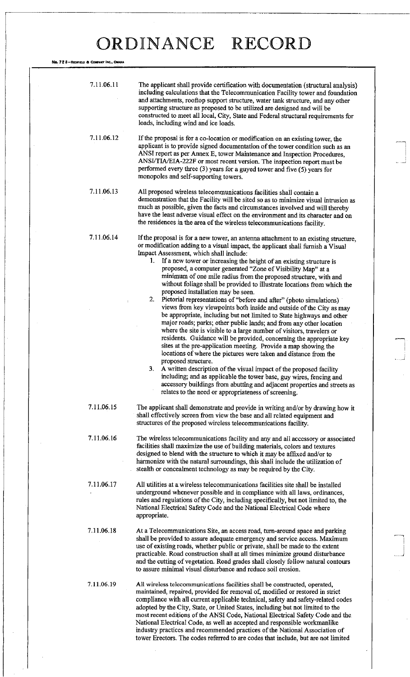| Ng. 72 8–Redfield & Company Inc., Omaha |                                                                                                                                                                                                                                                                                                                                                                                                                                                                                                                                                                                                                                                                                                                                                                                                                                                                                                                                                                                                                                                                                                                                                                                                                                                                                                                                                                                                                                                                           |  |
|-----------------------------------------|---------------------------------------------------------------------------------------------------------------------------------------------------------------------------------------------------------------------------------------------------------------------------------------------------------------------------------------------------------------------------------------------------------------------------------------------------------------------------------------------------------------------------------------------------------------------------------------------------------------------------------------------------------------------------------------------------------------------------------------------------------------------------------------------------------------------------------------------------------------------------------------------------------------------------------------------------------------------------------------------------------------------------------------------------------------------------------------------------------------------------------------------------------------------------------------------------------------------------------------------------------------------------------------------------------------------------------------------------------------------------------------------------------------------------------------------------------------------------|--|
| 7.11.06.11                              | The applicant shall provide certification with documentation (structural analysis)<br>including calculations that the Telecommunication Facility tower and foundation<br>and attachments, rooftop support structure, water tank structure, and any other<br>supporting structure as proposed to be utilized are designed and will be<br>constructed to meet all local, City, State and Federal structural requirements for<br>loads, including wind and ice loads.                                                                                                                                                                                                                                                                                                                                                                                                                                                                                                                                                                                                                                                                                                                                                                                                                                                                                                                                                                                                        |  |
| 7.11.06.12                              | If the proposal is for a co-location or modification on an existing tower, the<br>applicant is to provide signed documentation of the tower condition such as an<br>ANSI report as per Annex E, tower Maintenance and Inspection Procedures,<br>ANSI/TIA/EIA-222F or most recent version. The inspection report must be<br>performed every three (3) years for a guyed tower and five (5) years for<br>monopoles and self-supporting towers.                                                                                                                                                                                                                                                                                                                                                                                                                                                                                                                                                                                                                                                                                                                                                                                                                                                                                                                                                                                                                              |  |
| 7.11.06.13                              | All proposed wireless telecommunications facilities shall contain a<br>demonstration that the Facility will be sited so as to minimize visual intrusion as<br>much as possible, given the facts and circumstances involved and will thereby<br>have the least adverse visual effect on the environment and its character and on<br>the residences in the area of the wireless telecommunications facility.                                                                                                                                                                                                                                                                                                                                                                                                                                                                                                                                                                                                                                                                                                                                                                                                                                                                                                                                                                                                                                                                |  |
| 7.11.06.14                              | If the proposal is for a new tower, an antenna attachment to an existing structure,<br>or modification adding to a visual impact, the applicant shall furnish a Visual<br>Impact Assessment, which shall include:<br>1. If a new tower or increasing the height of an existing structure is<br>proposed, a computer generated "Zone of Visibility Map" at a<br>minimum of one mile radius from the proposed structure, with and<br>without foliage shall be provided to illustrate locations from which the<br>proposed installation may be seen.<br>2.<br>Pictorial representations of "before and after" (photo simulations)<br>views from key viewpoints both inside and outside of the City as may<br>be appropriate, including but not limited to State highways and other<br>major roads; parks; other public lands; and from any other location<br>where the site is visible to a large number of visitors, travelers or<br>residents. Guidance will be provided, concerning the appropriate key<br>sites at the pre-application meeting. Provide a map showing the<br>locations of where the pictures were taken and distance from the<br>proposed structure.<br>3 <sub>1</sub><br>A written description of the visual impact of the proposed facility<br>including; and as applicable the tower base, guy wires, fencing and<br>accessory buildings from abutting and adjacent properties and streets as<br>relates to the need or appropriateness of screening. |  |
| 7.11.06.15                              | The applicant shall demonstrate and provide in writing and/or by drawing how it<br>shall effectively screen from view the base and all related equipment and<br>structures of the proposed wireless telecommunications facility.                                                                                                                                                                                                                                                                                                                                                                                                                                                                                                                                                                                                                                                                                                                                                                                                                                                                                                                                                                                                                                                                                                                                                                                                                                          |  |
| 7.11.06.16                              | The wireless telecommunications facility and any and all accessory or associated<br>facilities shall maximize the use of building materials, colors and textures<br>designed to blend with the structure to which it may be affixed and/or to<br>harmonize with the natural surroundings, this shall include the utilization of<br>stealth or concealment technology as may be required by the City.                                                                                                                                                                                                                                                                                                                                                                                                                                                                                                                                                                                                                                                                                                                                                                                                                                                                                                                                                                                                                                                                      |  |
| 7.11.06.17                              | All utilities at a wireless telecommunications facilities site shall be installed<br>underground whenever possible and in compliance with all laws, ordinances,<br>rules and regulations of the City, including specifically, but not limited to, the<br>National Electrical Safety Code and the National Electrical Code where<br>appropriate.                                                                                                                                                                                                                                                                                                                                                                                                                                                                                                                                                                                                                                                                                                                                                                                                                                                                                                                                                                                                                                                                                                                           |  |
| 7.11.06.18                              | At a Telecommunications Site, an access road, turn-around space and parking<br>shall be provided to assure adequate emergency and service access. Maximum<br>use of existing roads, whether public or private, shall be made to the extent<br>practicable. Road construction shall at all times minimize ground disturbance<br>and the cutting of vegetation. Road grades shall closely follow natural contours<br>to assure minimal visual disturbance and reduce soil erosion.                                                                                                                                                                                                                                                                                                                                                                                                                                                                                                                                                                                                                                                                                                                                                                                                                                                                                                                                                                                          |  |
| 7.11.06.19                              | All wireless telecommunications facilities shall be constructed, operated,<br>maintained, repaired, provided for removal of, modified or restored in strict<br>compliance with all current applicable technical, safety and safety-related codes<br>adopted by the City, State, or United States, including but not limited to the<br>most recent editions of the ANSI Code, National Electrical Safety Code and the<br>National Electrical Code, as well as accepted and responsible workmanlike<br>industry practices and recommended practices of the National Association of<br>tower Erectors. The codes referred to are codes that include, but are not limited                                                                                                                                                                                                                                                                                                                                                                                                                                                                                                                                                                                                                                                                                                                                                                                                     |  |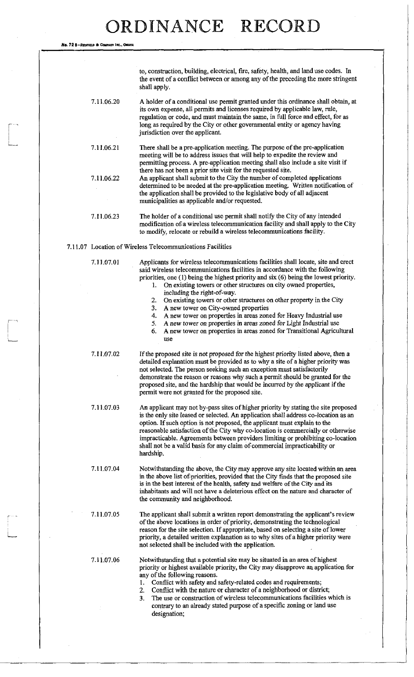**No.** 72 B-REDFIELO **A** COMPANY INC..OMAHA

to, construction, building, electrical, fire, safety, health, and land use codes. In the event of a conflict between or among any of the preceding the more stringent shall apply. 7.11.06.20 A holder of a conditional use permit granted under this ordinance shall obtain, at its own expense, all permits and licenses required by applicable law, rule, regulation or code, and must maintain the same, in full force and effect, for as long as required by the City or other governmental entity or agency having jurisdiction over the applicant. 7.11.06.21 There shall be a pre-application meeting. The purpose of the pre-application meeting will be to address issues that will help to expedite the review and permitting process. A pre-application meeting shall also include a site visit if there has not been a prior site visit for the requested site. 7.11.06.22 An applicant shall submit to the City the number of completed applications determined to be needed at the pre-application meeting. Written notification of the application shall be provided to the legislative body of all adjacent municipalities as applicable and/or requested. 7.11.06.23 The holder of a conditional use permit shall notify the City of any intended modification of a wireless telecommunication facility and shall apply to the City to modify, relocate or rebuild a wireless telecommunications facility.

7.11.07 Location of Wireless Telecommunications Facilities

7.11.07.01 Applicants for wireless telecommunications facilities shall locate, site and erect said wireless telecommunications facilities in accordance with the following priorities, one (1) being the highest priority and six (6) being the lowest priority.

- 1. On existing towers or other structures on city owned properties, including the right-of-way.
- 2. On existing towers or other structures on other property in the City
- 3. A new tower on City-owned properties
- 4. A new tower on properties in areas zoned for Heavy Industrial use
- 5. A new tower on properties in *areas zoned for* Light Industrial use
- 6. A new tower on properties in areas zoned for Transitional Agricultural use

7.11.07.02 If the proposed site is not proposed for the highest priority listed above, then a detailed explanation must be provided as to why a site of a higher priority was not selected. The person seeking such an exception must satisfactorily demonstrate the reason or reasons why such a permit should be granted for the proposed site, and the hardship that would be incurred by the applicant if the permit were not granted for the proposed site.

7.11.07.03 An applicant may not by-pass sites of higher priority by stating the site proposed is the only site leased or selected. An application shall address co-location as an option. If such option is not proposed, the applicant must explain to the reasonable satisfaction of the City why co-location is commercially or otherwise impracticable. Agreements between providers limiting or prohibiting co-location shall not be a valid basis for any claim of commercial impracticability or hardship.

7.11.07.04 Notwithstanding the above, the City may approve any site located within an area in the above list of priorities, provided that the City finds that the proposed site is in the best interest of the health, safety and welfare of the City and its inhabitants and will not have a deleterious effect on the nature and character of the community and neighborhood.

7.11.07.05 The applicant shall submit a written report demonstrating the applicant's review of the above locations in order of priority, demonstrating the technological reason for the site selection. If appropriate, based on selecting a site of lower priority, a detailed written explanation as to why sites of a higher priority were not selected shall be included with the application.

7.11.07.06 Notwithstanding that a potential site maybe situated in an area of highest priority or highest available priority, the City may disapprove an application for any of the following reasons.

- 1. Conflict with safety and safety-related codes and requirements;
- 2. Conflict with the nature or character of a neighborhood or district;
- 3. The use or construction of wireless telecommunications facilities which is contrary to an already stated purpose of a specific zoning or land use designation;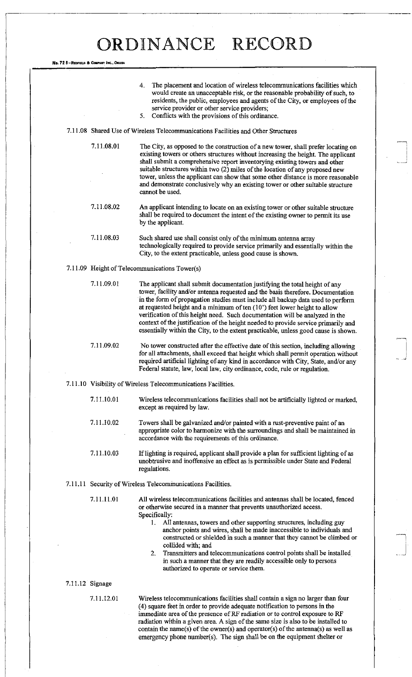No. 72 8-REDFIELD & COMPANY INC., OMAHA

|  |                 | The placement and location of wireless telecommunications facilities which<br>4.<br>would create an unacceptable risk, or the reasonable probability of such, to<br>residents, the public, employees and agents of the City, or employees of the<br>service provider or other service providers;<br>5.<br>Conflicts with the provisions of this ordinance.                                                                                                                                                                                                                                                                     |
|--|-----------------|--------------------------------------------------------------------------------------------------------------------------------------------------------------------------------------------------------------------------------------------------------------------------------------------------------------------------------------------------------------------------------------------------------------------------------------------------------------------------------------------------------------------------------------------------------------------------------------------------------------------------------|
|  |                 | 7.11.08 Shared Use of Wireless Telecommunications Facilities and Other Structures                                                                                                                                                                                                                                                                                                                                                                                                                                                                                                                                              |
|  | 7.11.08.01      | The City, as opposed to the construction of a new tower, shall prefer locating on<br>existing towers or others structures without increasing the height. The applicant<br>shall submit a comprehensive report inventorying existing towers and other<br>suitable structures within two (2) miles of the location of any proposed new<br>tower, unless the applicant can show that some other distance is more reasonable<br>and demonstrate conclusively why an existing tower or other suitable structure<br>cannot be used.                                                                                                  |
|  | 7.11.08.02      | An applicant intending to locate on an existing tower or other suitable structure<br>shall be required to document the intent of the existing owner to permit its use<br>by the applicant.                                                                                                                                                                                                                                                                                                                                                                                                                                     |
|  | 7.11.08.03      | Such shared use shall consist only of the minimum antenna array<br>technologically required to provide service primarily and essentially within the<br>City, to the extent practicable, unless good cause is shown.                                                                                                                                                                                                                                                                                                                                                                                                            |
|  |                 | 7.11.09 Height of Telecommunications Tower(s)                                                                                                                                                                                                                                                                                                                                                                                                                                                                                                                                                                                  |
|  | 7.11.09.01      | The applicant shall submit documentation justifying the total height of any<br>tower, facility and/or antenna requested and the basis therefore. Documentation<br>in the form of propagation studies must include all backup data used to perform<br>at requested height and a minimum of ten $(10^{\circ})$ feet lower height to allow<br>verification of this height need. Such documentation will be analyzed in the<br>context of the justification of the height needed to provide service primarily and<br>essentially within the City, to the extent practicable, unless good cause is shown.                           |
|  | 7.11.09.02      | No tower constructed after the effective date of this section, including allowing<br>for all attachments, shall exceed that height which shall permit operation without<br>required artificial lighting of any kind in accordance with City, State, and/or any<br>Federal statute, law, local law, city ordinance, code, rule or regulation.                                                                                                                                                                                                                                                                                   |
|  |                 | 7.11.10 Visibility of Wireless Telecommunications Facilities.                                                                                                                                                                                                                                                                                                                                                                                                                                                                                                                                                                  |
|  | 7.11.10.01      | Wireless telecommunications facilities shall not be artificially lighted or marked,<br>except as required by law.                                                                                                                                                                                                                                                                                                                                                                                                                                                                                                              |
|  | 7.11.10.02      | Towers shall be galvanized and/or painted with a rust-preventive paint of an<br>appropriate color to harmonize with the surroundings and shall be maintained in<br>accordance with the requirements of this ordinance.                                                                                                                                                                                                                                                                                                                                                                                                         |
|  | 7.11.10.03      | If lighting is required, applicant shall provide a plan for sufficient lighting of as<br>unobtrusive and inoffensive an effect as is permissible under State and Federal<br>regulations.                                                                                                                                                                                                                                                                                                                                                                                                                                       |
|  |                 | 7.11.11 Security of Wireless Telecommunications Facilities.                                                                                                                                                                                                                                                                                                                                                                                                                                                                                                                                                                    |
|  | 7.11.11.01      | All wireless telecommunications facilities and antennas shall be located, fenced<br>or otherwise secured in a manner that prevents unauthorized access.<br>Specifically:<br>All antennas, towers and other supporting structures, including guy<br>1.<br>anchor points and wires, shall be made inaccessible to individuals and<br>constructed or shielded in such a manner that they cannot be climbed or<br>collided with; and<br>Transmitters and telecommunications control points shall be installed<br>2.<br>in such a manner that they are readily accessible only to persons<br>authorized to operate or service them. |
|  | 7.11.12 Signage |                                                                                                                                                                                                                                                                                                                                                                                                                                                                                                                                                                                                                                |
|  | 7.11.12.01      | Wireless telecommunications facilities shall contain a sign no larger than four<br>(4) square feet in order to provide adequate notification to persons in the<br>immediate area of the presence of RF radiation or to control exposure to RF<br>radiation within a given area. A sign of the same size is also to be installed to                                                                                                                                                                                                                                                                                             |

contain the name(s) of the owner(s) and operator(s) of the antenna(s) as well as emergency phone number(s). The sign shall be on the equipment shelter or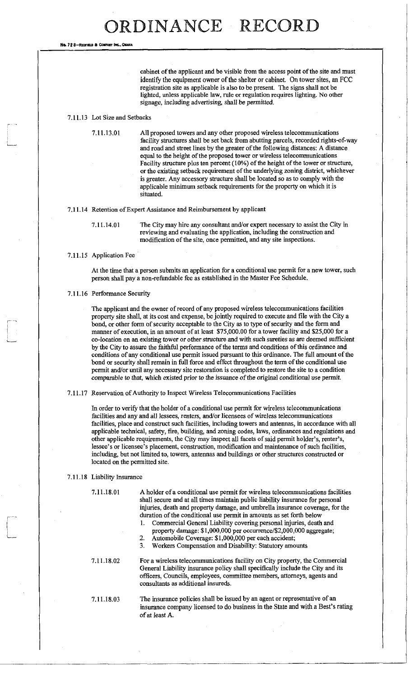**No. 72 8-REDFIELD & COMPANY INC.** 

cabinet of the applicant and be visible from the access point of the site and must identify the equipment owner of the shelter or cabinet. On tower sites, an FCC registration site as applicable is also to be present. The signs shall not be lighted, unless applicable law, rule or regulation requires lighting. No other signage, including advertising, shall be permitted.

#### 7.11.13 Lot Size and Setbacks

7.11.13.01 All proposed towers and any other proposed wireless telecommunications facility structures shall be set back from abutting parcels, recorded rights-of-way and road and street lines by the greater of the following distances: A distance equal to the height of the proposed tower or wireless telecommunications Facility structure plus ten percent (10%) of the height of the tower or structure, or the existing setback requirement of the underlying zoning district, whichever is greater. Any accessory structure shall be located so as to comply with the applicable minimum setback requirements for the property on which it is situated.

#### 7.11.14 Retention of Expert Assistance and Reimbursement by applicant

7.11.14.01 The City may hire any consultant and/or expert necessary to assist the City in reviewing and evaluating the application, including the construction and modification of the site, once permitted, and any site inspections.

#### 7.11.15 Application Fee

At the time that a person submits an application for a conditional use permit for a new tower, such person shall pay a non-refundable fee as established in the Master Fee Schedule.

#### 7.11.16 Performance Security

The applicant and the owner of record of any proposed wireless telecommunications facilities property site shall, at its cost and expense, be jointly required to execute and file with the City a bond, or other form of security acceptable to the City as to type of security and the form and manner of execution, in an amount of at least \$75,000.00 for a tower facility and \$25,000 for a co-location on an existing tower or other structure and with such sureties as are deemed sufficient by the City to assure the faithful performance of the terms and conditions of this ordinance and conditions of any conditional use permit issued pursuant to this ordinance. The full amount of the bond or security shall remain in full force and effect throughout the term of the conditional use permit and/or until any necessary site restoration is completed to restore the site to a condition comparable to that, which existed prior to the issuance of the original conditional use permit.

7.11.17 Reservation of Authority to Inspect Wireless Telecommunications Facilities

In order to verify that the holder of a conditional use permit for wireless telecommunications facilities and any and all lessees, renters, and/or licensees of wireless telecommunications facilities, place and construct such facilities, including towers and antennas, in accordance with all applicable technical, safety, fire, building, and zoning codes, laws, ordinances and regulations and other applicable requirements, the City may inspect all facets of said permit holder's, renter's, lessee's or licensee's placement, construction, modification and maintenance of such facilities, including, but not limited to, towers, antennas and buildings or other structures constructed or located on the permitted site.

#### 7.11.18 Liability Insurance

7.11.18.01

A holder of a conditional use permit for wireless telecommunications facilities shall secure and at all times maintain public liability insurance for personal injuries, death and property damage, and umbrella insurance coverage, for the duration of the conditional use permit in amounts as set forth below

- 1. Commercial General Liability covering personal injuries, death and
- property damage: \$1,000,000 per occurrence/\$2,000,000 aggregate; 2. Automobile Coverage: \$1,000,000 per each accident;
- 3. Workers Compensation and Disability: Statutory amounts

7.11.18.02

For a wireless telecommunications facility on City property, the Commercial General Liability insurance policy shall specifically include the City and its officers, Councils, employees, committee members, attorneys, agents and consultants as additional insureds.

7.11.18.03

The insurance policies shall be issued by an agent or representative of an insurance company licensed to do business in the State and with a Best's rating of at least A.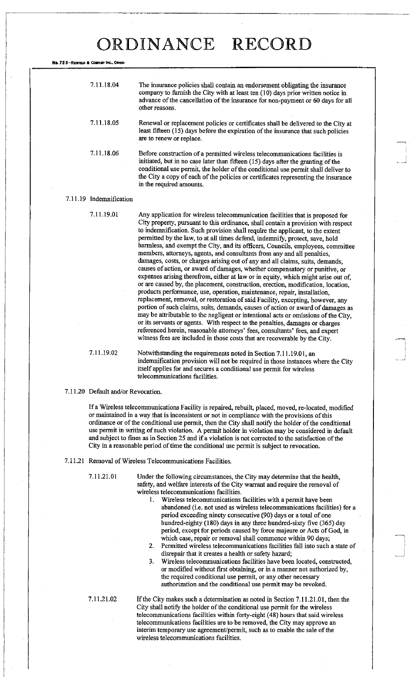**No. 72 8-REDITELD & COMPANY INC.** 

| 7.11.18.04 | The insurance policies shall contain an endorsement obligating the insurance<br>company to furnish the City with at least ten (10) days prior written notice in<br>advance of the cancellation of the insurance for non-payment or 60 days for all<br>other reasons.                                                                                                    |
|------------|-------------------------------------------------------------------------------------------------------------------------------------------------------------------------------------------------------------------------------------------------------------------------------------------------------------------------------------------------------------------------|
| 7.11.18.05 | Renewal or replacement policies or certificates shall be delivered to the City at<br>least fifteen (15) days before the expiration of the insurance that such policies<br>are to renew or replace.                                                                                                                                                                      |
| 7.11.18.06 | Before construction of a permitted wireless telecommunications facilities is<br>initiated, but in no case later than fifteen (15) days after the granting of the<br>conditional use permit, the holder of the conditional use permit shall deliver to<br>the City a copy of each of the policies or certificates representing the insurance<br>in the required amounts. |

#### 7.11.19 Indemnification

7.11.19.01 Any application for wireless telecommunication facilities that is proposed for City property, pursuant to this ordinance, shall contain a provision with respect to indemnification. Such provision shall require the applicant, to the extent permitted by the law, to at all times defend, indemnify, protect, save, hold harmless, and exempt the City, and its officers, Councils, employees, committee members, attorneys, agents, and consultants from any and all penalties, damages, costs, or charges arising out of any and all claims, suits, demands, causes of action, or award of damages, whether compensatory or punitive, or expenses arising therefrom, either at law or in equity, which might arise out of, or are caused by, the placement, construction, erection, modification, location, products performance, use, operation, maintenance, repair, installation, replacement, removal, or restoration of said Facility, excepting, however, any portion of such claims, suits, demands, causes of action or award of damages as may be attributable to the negligent or intentional acts or omissions of the City, or its servants or agents. With respect to the penalties, damages or charges referenced herein, reasonable attorneys' fees, consultants' fees, and expert witness fees are included in those costs that are recoverable by the City.

7.11.19.02 Notwithstanding the requirements noted in Section 7.11.19.01, an indemnification provision will not be required in those instances where the City itself applies for and secures a conditional use permit for wireless telecommunications facilities.

7.11.20 Default and/or Revocation.

If a Wireless telecommunications Facility is repaired, rebuilt, placed, moved, re-located, modified or maintained in a way that is inconsistent or not in compliance with the provisions of this ordinance or of the conditional use permit, then the City shall notify the holder of the conditional use permit in writing of such violation. A permit holder in violation may be considered in default and subject to fines as in Section 25 and if a violation is not corrected to the satisfaction of the City in a reasonable period of time the conditional use permit is subject to revocation.

7.11.21 Removal of Wireless Telecommunications Facilities.

7.11.21.01 Under the following circumstances, the City may determine that the health, safety, and welfare interests of the City warrant and require the removal of wireless telecommunications facilities.

- 1. Wireless telecommunications facilities with a permit have been abandoned (i.e. not used as wireless telecommunications facilities) for a period exceeding ninety consecutive (90) days or a total of one hundred-eighty (180) days in any three hundred-sixty five (365) day period, except for periods caused by force majeure or Acts of God, in which case, repair or removal shall commence within 90 days;
- 2. Permitted wireless telecommunications facilities fall into such a state of disrepair that it creates a health or safety hazard;
- 3. Wireless telecommunications facilities have been located, constructed, or modified without first obtaining, or in a manner not authorized by, the required conditional use permit, or any other necessary authorization and the conditional use permit may be revoked.

7.11.21.02 If the City makes such a determination as noted in Section 7.11.21.01, then the City shall notify the holder of the conditional use permit for the wireless telecommunications facilities within forty-eight (48) hours that said wireless telecommunications facilities are to be removed, the City may approve an interim temporary use agreement/permit, such as to enable the sale of the wireless telecommunications facilities.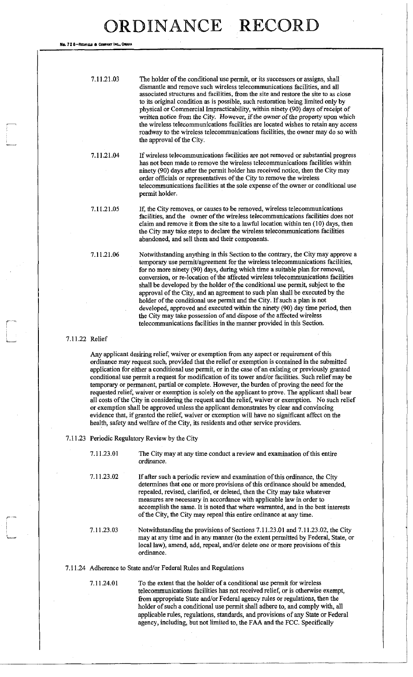**No. 72 8-REonae** 8 COMPANY INC., **O**MK\*

| 7.11.21.03 | The holder of the conditional use permit, or its successors or assigns, shall<br>dismantle and remove such wireless telecommunications facilities, and all<br>associated structures and facilities, from the site and restore the site to as close<br>to its original condition as is possible, such restoration being limited only by<br>physical or Commercial Impracticability, within ninety (90) days of receipt of |
|------------|--------------------------------------------------------------------------------------------------------------------------------------------------------------------------------------------------------------------------------------------------------------------------------------------------------------------------------------------------------------------------------------------------------------------------|
|            | written notice from the City. However, if the owner of the property upon which<br>the wireless telecommunications facilities are located wishes to retain any access<br>roadway to the wireless telecommunications facilities, the owner may do so with<br>the approval of the City.                                                                                                                                     |

If wireless telecommunications facilities are not removed or substantial progress has not been made to remove the wireless telecommunications facilities within ninety (90) days after the permit holder has received notice, then the City may order officials or representatives of the City to remove the wireless telecommunications facilities at the sole expense of the owner or conditional use permit holder. 7.11.21.04

7.11.21.05

If, the City removes, or causes to be removed, wireless telecommunications facilities, and the owner of the wireless telecommunications facilities does not claim and remove it from the site to a lawful location within ten (10) days, then the City may take steps to declare the wireless telecommunications facilities abandoned, and sell them and their components.

7.11.21.06

Notwithstanding anything in this Section to the contrary, the City may approve a temporary use permit/agreement for the wireless telecommunications facilities, for no more ninety (90) days, during which time a suitable plan for removal, conversion, or re-location of the affected wireless telecommunications facilities shall be developed by the holder of the conditional use permit, subject to the approval of the City, and an agreement to such plan shall be executed by the holder of the conditional use permit and the City. If such a plan is not developed, approved and executed within the ninety (90) day time period, then the City may take possession of and dispose of the affected wireless telecommunications facilities in the manner provided in this Section.

#### 7.11.22 Relief

Any applicant desiring relief, waiver or exemption from any aspect or requirement of this ordinance may request such, provided that the relief or exemption is contained in the submitted application for either a conditional use permit, or in the case of an existing or previously granted conditional use permit a request for modification of its tower and/or facilities. Such relief may be temporary or permanent, partial or complete. However, the burden of proving the need for the requested relief, waiver or exemption is solely on the applicant to prove. The applicant shall bear all costs of the City in considering the request and the relief, waiver or exemption. No such relief or exemption shall be approved unless the applicant demonstrates by clear and convincing evidence that, if granted the relief, waiver or exemption will have no significant affect on the health, safety and welfare of the City, its residents and other service providers.

7.11.23 Periodic Regulatory Review by the City

- The City may at any time conduct a review and examination of this entire ordinance. 7.11.23.01
- If after such a periodic review and examination of this ordinance, the City determines that one or more provisions of this ordinance should be amended, repealed, revised, clarified, or deleted, then the City may take whatever measures are necessary in accordance with applicable law in order to accomplish the same. It is noted that where warranted, and in the best interests of the City, the City may repeal this entire ordinance at any time. 7.11.23.02
- Notwithstanding the provisions of Sections 7.11.23.01 and 7.11.23.02, the City may at any time and in any manner (to the extent permitted by Federal, State, or local law), amend, add, repeal, and/or delete one or more provisions of this ordinance. 7.11.23.03

#### 7.11.24 Adherence to State and/or Federal Rules and Regulations

7.11.24.01 To the extent that the holder of a conditional use permit for wireless telecommunications facilities has not received relief, or is otherwise exempt, from appropriate State and/or Federal agency rules or regulations, then the holder of such a conditional use permit shall adhere to, and comply with, all applicable rules, regulations, standards, and provisions of any State or Federal agency, including, but not limited to, the FAA and the FCC. Specifically